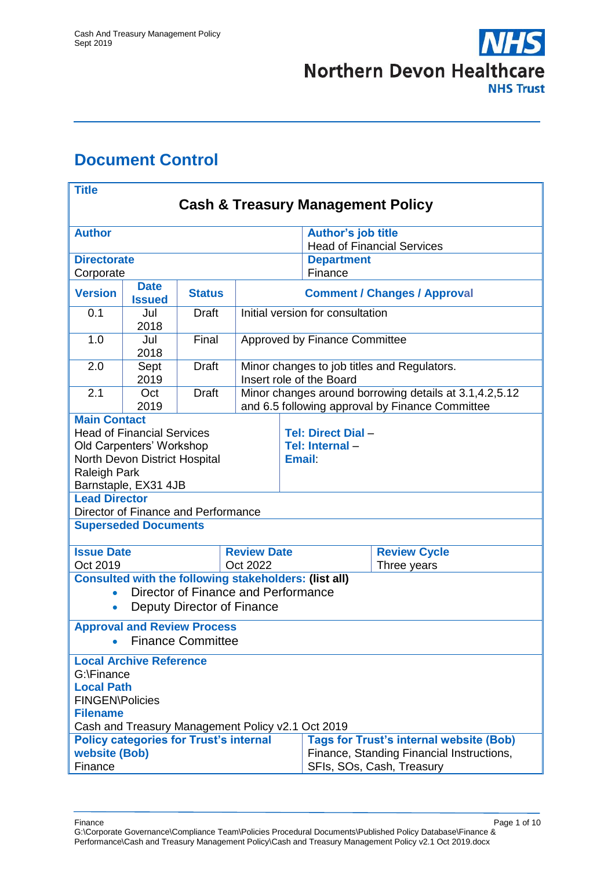

# <span id="page-0-0"></span>**Document Control**

| <b>Title</b>                                                                                                                                                  |                                |                                                                                                    |                                                                                                           |                                                       |                                                                |                                                |  |
|---------------------------------------------------------------------------------------------------------------------------------------------------------------|--------------------------------|----------------------------------------------------------------------------------------------------|-----------------------------------------------------------------------------------------------------------|-------------------------------------------------------|----------------------------------------------------------------|------------------------------------------------|--|
| <b>Cash &amp; Treasury Management Policy</b>                                                                                                                  |                                |                                                                                                    |                                                                                                           |                                                       |                                                                |                                                |  |
| <b>Author</b>                                                                                                                                                 |                                |                                                                                                    |                                                                                                           |                                                       | <b>Author's job title</b><br><b>Head of Financial Services</b> |                                                |  |
| <b>Directorate</b>                                                                                                                                            |                                |                                                                                                    |                                                                                                           |                                                       | <b>Department</b><br>Finance                                   |                                                |  |
| Corporate<br><b>Date</b><br><b>Version</b><br><b>Status</b><br><b>Issued</b>                                                                                  |                                |                                                                                                    | <b>Comment / Changes / Approval</b>                                                                       |                                                       |                                                                |                                                |  |
| 0.1                                                                                                                                                           | Jul<br>2018                    | <b>Draft</b>                                                                                       | Initial version for consultation                                                                          |                                                       |                                                                |                                                |  |
| 1.0                                                                                                                                                           | Jul<br>2018                    | Final                                                                                              | Approved by Finance Committee                                                                             |                                                       |                                                                |                                                |  |
| 2.0                                                                                                                                                           | Sept<br>2019                   | <b>Draft</b>                                                                                       | Minor changes to job titles and Regulators.<br>Insert role of the Board                                   |                                                       |                                                                |                                                |  |
| 2.1                                                                                                                                                           | Oct<br>2019                    | <b>Draft</b>                                                                                       | Minor changes around borrowing details at 3.1,4.2,5.12<br>and 6.5 following approval by Finance Committee |                                                       |                                                                |                                                |  |
| <b>Main Contact</b><br><b>Head of Financial Services</b><br>Old Carpenters' Workshop<br>North Devon District Hospital<br>Raleigh Park<br>Barnstaple, EX31 4JB |                                |                                                                                                    |                                                                                                           | Tel: Direct Dial -<br>Tel: Internal-<br><b>Email:</b> |                                                                |                                                |  |
| <b>Lead Director</b>                                                                                                                                          |                                | Director of Finance and Performance                                                                |                                                                                                           |                                                       |                                                                |                                                |  |
|                                                                                                                                                               | <b>Superseded Documents</b>    |                                                                                                    |                                                                                                           |                                                       |                                                                |                                                |  |
| <b>Issue Date</b><br>Oct 2022<br>Oct 2019                                                                                                                     |                                |                                                                                                    | <b>Review Date</b>                                                                                        | <b>Review Cycle</b><br>Three years                    |                                                                |                                                |  |
| <b>Consulted with the following stakeholders: (list all)</b><br>Director of Finance and Performance<br>$\bullet$<br>Deputy Director of Finance<br>$\bullet$   |                                |                                                                                                    |                                                                                                           |                                                       |                                                                |                                                |  |
| <b>Approval and Review Process</b><br><b>Finance Committee</b><br>$\bullet$                                                                                   |                                |                                                                                                    |                                                                                                           |                                                       |                                                                |                                                |  |
| G:\Finance<br><b>Local Path</b><br><b>FINGEN\Policies</b><br><b>Filename</b>                                                                                  | <b>Local Archive Reference</b> | Cash and Treasury Management Policy v2.1 Oct 2019<br><b>Policy categories for Trust's internal</b> |                                                                                                           |                                                       |                                                                | <b>Tags for Trust's internal website (Bob)</b> |  |
| website (Bob)<br>Finance, Standing Financial Instructions,<br>Finance<br>SFIs, SOs, Cash, Treasury                                                            |                                |                                                                                                    |                                                                                                           |                                                       |                                                                |                                                |  |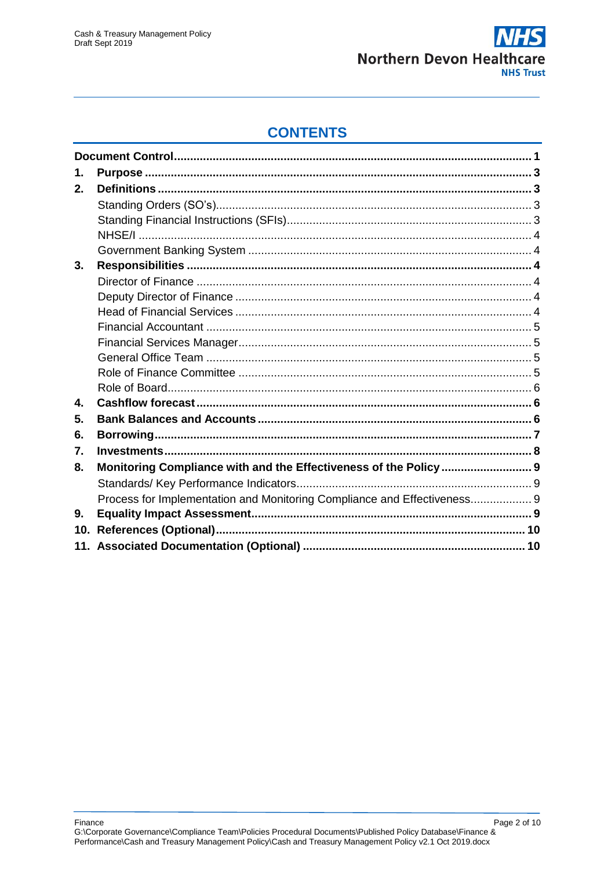

# **CONTENTS**

| 1.  |                                                                          |  |
|-----|--------------------------------------------------------------------------|--|
| 2.  |                                                                          |  |
|     |                                                                          |  |
|     |                                                                          |  |
|     |                                                                          |  |
|     |                                                                          |  |
| 3.  |                                                                          |  |
|     |                                                                          |  |
|     |                                                                          |  |
|     |                                                                          |  |
|     |                                                                          |  |
|     |                                                                          |  |
|     |                                                                          |  |
|     |                                                                          |  |
|     |                                                                          |  |
| 4.  |                                                                          |  |
| 5.  |                                                                          |  |
| 6.  |                                                                          |  |
| 7.  |                                                                          |  |
| 8.  | Monitoring Compliance with and the Effectiveness of the Policy  9        |  |
|     |                                                                          |  |
|     | Process for Implementation and Monitoring Compliance and Effectiveness 9 |  |
| 9.  |                                                                          |  |
| 10. |                                                                          |  |
|     |                                                                          |  |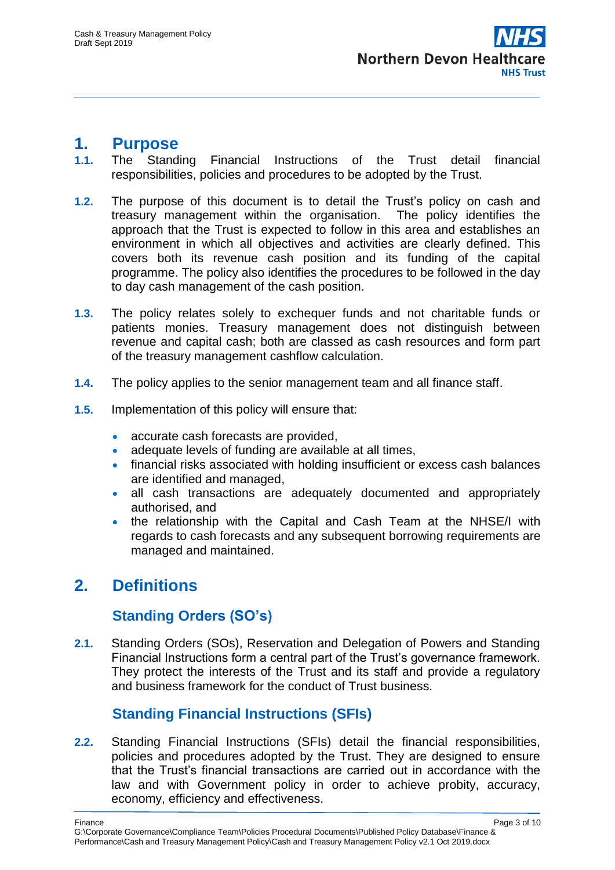

#### <span id="page-2-0"></span>**1. Purpose**

- **1.1.** The Standing Financial Instructions of the Trust detail financial responsibilities, policies and procedures to be adopted by the Trust.
- **1.2.** The purpose of this document is to detail the Trust's policy on cash and treasury management within the organisation. The policy identifies the approach that the Trust is expected to follow in this area and establishes an environment in which all objectives and activities are clearly defined. This covers both its revenue cash position and its funding of the capital programme. The policy also identifies the procedures to be followed in the day to day cash management of the cash position.
- **1.3.** The policy relates solely to exchequer funds and not charitable funds or patients monies. Treasury management does not distinguish between revenue and capital cash; both are classed as cash resources and form part of the treasury management cashflow calculation.
- **1.4.** The policy applies to the senior management team and all finance staff.
- **1.5.** Implementation of this policy will ensure that:
	- accurate cash forecasts are provided.
	- adequate levels of funding are available at all times,
	- financial risks associated with holding insufficient or excess cash balances are identified and managed,
	- all cash transactions are adequately documented and appropriately authorised, and
	- the relationship with the Capital and Cash Team at the NHSE/I with regards to cash forecasts and any subsequent borrowing requirements are managed and maintained.

# <span id="page-2-1"></span>**2. Definitions**

## **Standing Orders (SO's)**

<span id="page-2-2"></span>**2.1.** Standing Orders (SOs), Reservation and Delegation of Powers and Standing Financial Instructions form a central part of the Trust's governance framework. They protect the interests of the Trust and its staff and provide a regulatory and business framework for the conduct of Trust business.

## **Standing Financial Instructions (SFIs)**

<span id="page-2-3"></span>**2.2.** Standing Financial Instructions (SFIs) detail the financial responsibilities, policies and procedures adopted by the Trust. They are designed to ensure that the Trust's financial transactions are carried out in accordance with the law and with Government policy in order to achieve probity, accuracy, economy, efficiency and effectiveness.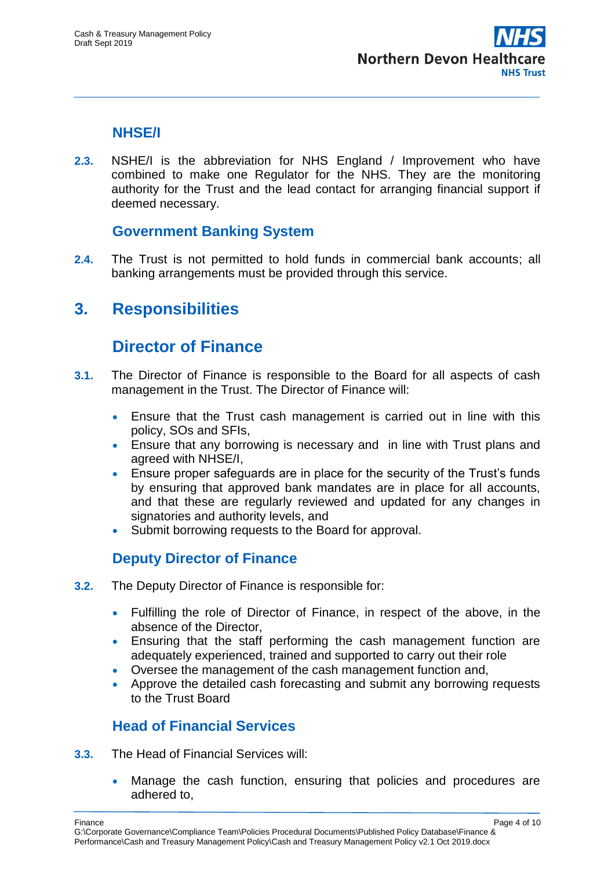

#### **NHSE/I**

<span id="page-3-0"></span>**2.3.** NSHE/I is the abbreviation for NHS England / Improvement who have combined to make one Regulator for the NHS. They are the monitoring authority for the Trust and the lead contact for arranging financial support if deemed necessary.

## **Government Banking System**

<span id="page-3-1"></span>**2.4.** The Trust is not permitted to hold funds in commercial bank accounts; all banking arrangements must be provided through this service.

# <span id="page-3-3"></span><span id="page-3-2"></span>**3. Responsibilities**

## **Director of Finance**

- **3.1.** The Director of Finance is responsible to the Board for all aspects of cash management in the Trust. The Director of Finance will:
	- Ensure that the Trust cash management is carried out in line with this policy, SOs and SFIs,
	- Ensure that any borrowing is necessary and in line with Trust plans and agreed with NHSE/I,
	- Ensure proper safeguards are in place for the security of the Trust's funds by ensuring that approved bank mandates are in place for all accounts, and that these are regularly reviewed and updated for any changes in signatories and authority levels, and
	- Submit borrowing requests to the Board for approval.

## **Deputy Director of Finance**

- <span id="page-3-4"></span>**3.2.** The Deputy Director of Finance is responsible for:
	- Fulfilling the role of Director of Finance, in respect of the above, in the absence of the Director,
	- Ensuring that the staff performing the cash management function are adequately experienced, trained and supported to carry out their role
	- Oversee the management of the cash management function and,
	- Approve the detailed cash forecasting and submit any borrowing requests to the Trust Board

## **Head of Financial Services**

- <span id="page-3-5"></span>**3.3.** The Head of Financial Services will:
	- Manage the cash function, ensuring that policies and procedures are adhered to,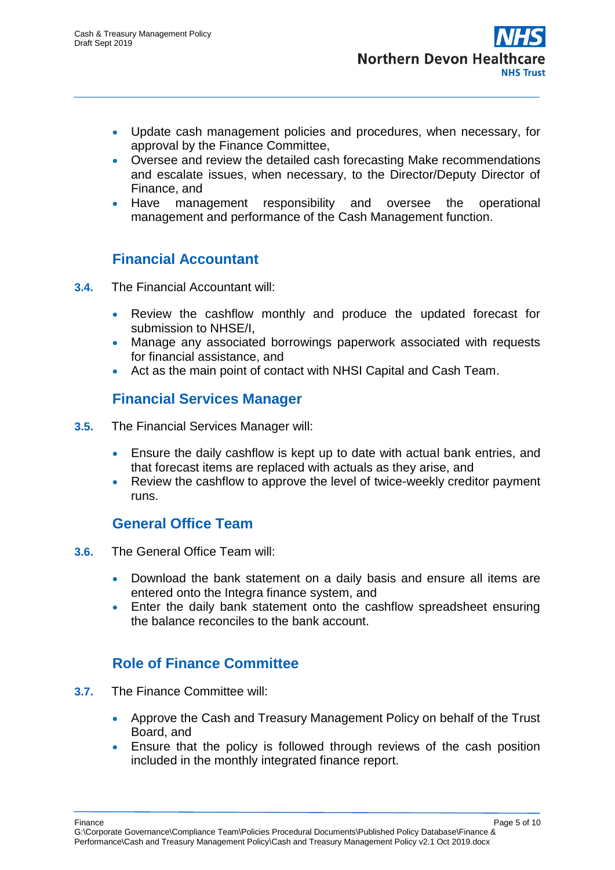- Update cash management policies and procedures, when necessary, for approval by the Finance Committee,
- Oversee and review the detailed cash forecasting Make recommendations and escalate issues, when necessary, to the Director/Deputy Director of Finance, and
- Have management responsibility and oversee the operational management and performance of the Cash Management function.

## **Financial Accountant**

- <span id="page-4-0"></span>**3.4.** The Financial Accountant will:
	- Review the cashflow monthly and produce the updated forecast for submission to NHSE/I,
	- Manage any associated borrowings paperwork associated with requests for financial assistance, and
	- Act as the main point of contact with NHSI Capital and Cash Team.

## **Financial Services Manager**

- <span id="page-4-1"></span>**3.5.** The Financial Services Manager will:
	- Ensure the daily cashflow is kept up to date with actual bank entries, and that forecast items are replaced with actuals as they arise, and
	- Review the cashflow to approve the level of twice-weekly creditor payment runs.

## **General Office Team**

- <span id="page-4-2"></span>**3.6.** The General Office Team will:
	- Download the bank statement on a daily basis and ensure all items are entered onto the Integra finance system, and
	- Enter the daily bank statement onto the cashflow spreadsheet ensuring the balance reconciles to the bank account.

## **Role of Finance Committee**

- <span id="page-4-3"></span>**3.7.** The Finance Committee will:
	- Approve the Cash and Treasury Management Policy on behalf of the Trust Board, and
	- Ensure that the policy is followed through reviews of the cash position included in the monthly integrated finance report.

Finance Page 5 of 10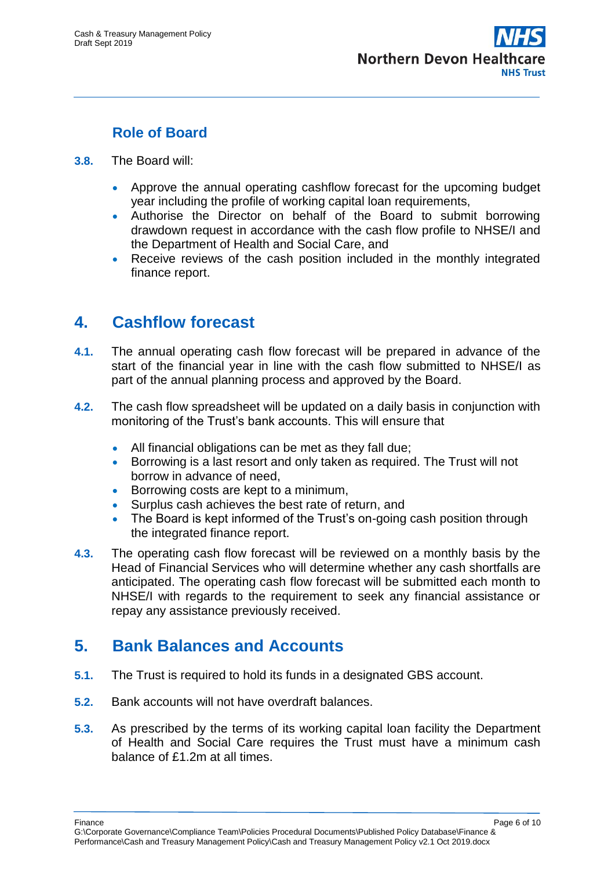

## **Role of Board**

- <span id="page-5-0"></span>**3.8.** The Board will:
	- Approve the annual operating cashflow forecast for the upcoming budget year including the profile of working capital loan requirements,
	- Authorise the Director on behalf of the Board to submit borrowing drawdown request in accordance with the cash flow profile to NHSE/I and the Department of Health and Social Care, and
	- Receive reviews of the cash position included in the monthly integrated finance report.

# <span id="page-5-1"></span>**4. Cashflow forecast**

- **4.1.** The annual operating cash flow forecast will be prepared in advance of the start of the financial year in line with the cash flow submitted to NHSE/I as part of the annual planning process and approved by the Board.
- **4.2.** The cash flow spreadsheet will be updated on a daily basis in conjunction with monitoring of the Trust's bank accounts. This will ensure that
	- All financial obligations can be met as they fall due;
	- Borrowing is a last resort and only taken as required. The Trust will not borrow in advance of need,
	- **Borrowing costs are kept to a minimum,**
	- Surplus cash achieves the best rate of return, and
	- The Board is kept informed of the Trust's on-going cash position through the integrated finance report.
- **4.3.** The operating cash flow forecast will be reviewed on a monthly basis by the Head of Financial Services who will determine whether any cash shortfalls are anticipated. The operating cash flow forecast will be submitted each month to NHSE/I with regards to the requirement to seek any financial assistance or repay any assistance previously received.

# <span id="page-5-2"></span>**5. Bank Balances and Accounts**

- **5.1.** The Trust is required to hold its funds in a designated GBS account.
- **5.2.** Bank accounts will not have overdraft balances.
- **5.3.** As prescribed by the terms of its working capital loan facility the Department of Health and Social Care requires the Trust must have a minimum cash balance of £1.2m at all times.

Finance Page 6 of 10 G:\Corporate Governance\Compliance Team\Policies Procedural Documents\Published Policy Database\Finance & Performance\Cash and Treasury Management Policy\Cash and Treasury Management Policy v2.1 Oct 2019.docx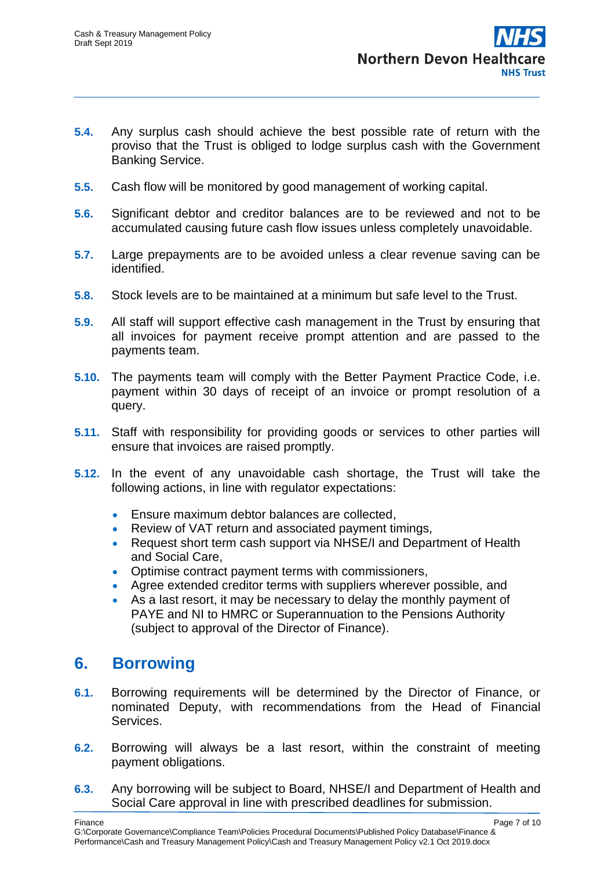- **5.4.** Any surplus cash should achieve the best possible rate of return with the proviso that the Trust is obliged to lodge surplus cash with the Government Banking Service.
- **5.5.** Cash flow will be monitored by good management of working capital.
- **5.6.** Significant debtor and creditor balances are to be reviewed and not to be accumulated causing future cash flow issues unless completely unavoidable.
- **5.7.** Large prepayments are to be avoided unless a clear revenue saving can be identified.
- **5.8.** Stock levels are to be maintained at a minimum but safe level to the Trust.
- **5.9.** All staff will support effective cash management in the Trust by ensuring that all invoices for payment receive prompt attention and are passed to the payments team.
- **5.10.** The payments team will comply with the Better Payment Practice Code, i.e. payment within 30 days of receipt of an invoice or prompt resolution of a query.
- **5.11.** Staff with responsibility for providing goods or services to other parties will ensure that invoices are raised promptly.
- **5.12.** In the event of any unavoidable cash shortage, the Trust will take the following actions, in line with regulator expectations:
	- **Ensure maximum debtor balances are collected,**
	- Review of VAT return and associated payment timings,
	- Request short term cash support via NHSE/I and Department of Health and Social Care,
	- Optimise contract payment terms with commissioners,
	- Agree extended creditor terms with suppliers wherever possible, and
	- As a last resort, it may be necessary to delay the monthly payment of PAYE and NI to HMRC or Superannuation to the Pensions Authority (subject to approval of the Director of Finance).

# <span id="page-6-0"></span>**6. Borrowing**

- **6.1.** Borrowing requirements will be determined by the Director of Finance, or nominated Deputy, with recommendations from the Head of Financial **Services**
- **6.2.** Borrowing will always be a last resort, within the constraint of meeting payment obligations.
- **6.3.** Any borrowing will be subject to Board, NHSE/I and Department of Health and Social Care approval in line with prescribed deadlines for submission.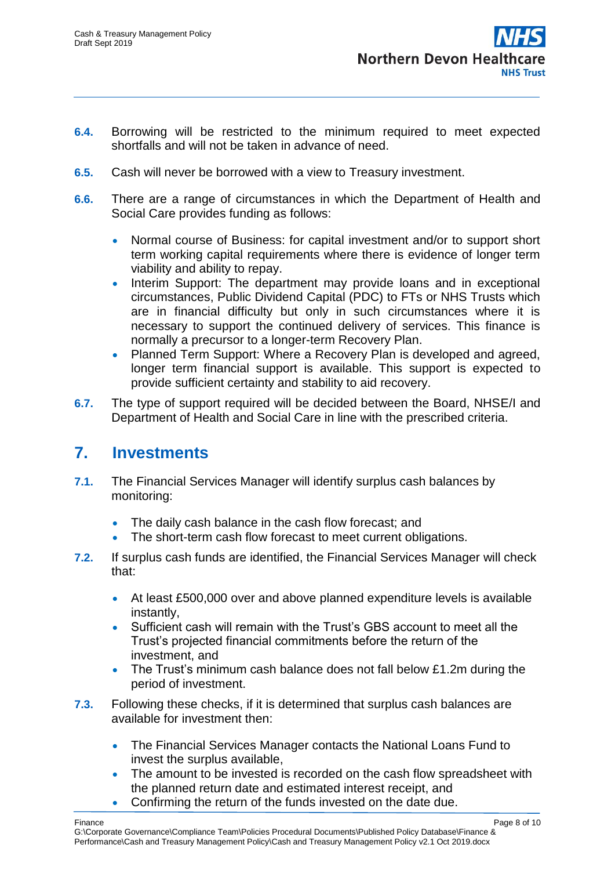

- **6.4.** Borrowing will be restricted to the minimum required to meet expected shortfalls and will not be taken in advance of need.
- **6.5.** Cash will never be borrowed with a view to Treasury investment.
- **6.6.** There are a range of circumstances in which the Department of Health and Social Care provides funding as follows:
	- Normal course of Business: for capital investment and/or to support short term working capital requirements where there is evidence of longer term viability and ability to repay.
	- Interim Support: The department may provide loans and in exceptional circumstances, Public Dividend Capital (PDC) to FTs or NHS Trusts which are in financial difficulty but only in such circumstances where it is necessary to support the continued delivery of services. This finance is normally a precursor to a longer-term Recovery Plan.
	- Planned Term Support: Where a Recovery Plan is developed and agreed, longer term financial support is available. This support is expected to provide sufficient certainty and stability to aid recovery.
- **6.7.** The type of support required will be decided between the Board, NHSE/I and Department of Health and Social Care in line with the prescribed criteria.

## <span id="page-7-0"></span>**7. Investments**

- **7.1.** The Financial Services Manager will identify surplus cash balances by monitoring:
	- The daily cash balance in the cash flow forecast; and
	- The short-term cash flow forecast to meet current obligations.
- **7.2.** If surplus cash funds are identified, the Financial Services Manager will check that:
	- At least £500,000 over and above planned expenditure levels is available instantly,
	- Sufficient cash will remain with the Trust's GBS account to meet all the Trust's projected financial commitments before the return of the investment, and
	- The Trust's minimum cash balance does not fall below £1.2m during the period of investment.
- **7.3.** Following these checks, if it is determined that surplus cash balances are available for investment then:
	- The Financial Services Manager contacts the National Loans Fund to invest the surplus available,
	- The amount to be invested is recorded on the cash flow spreadsheet with the planned return date and estimated interest receipt, and
	- Confirming the return of the funds invested on the date due.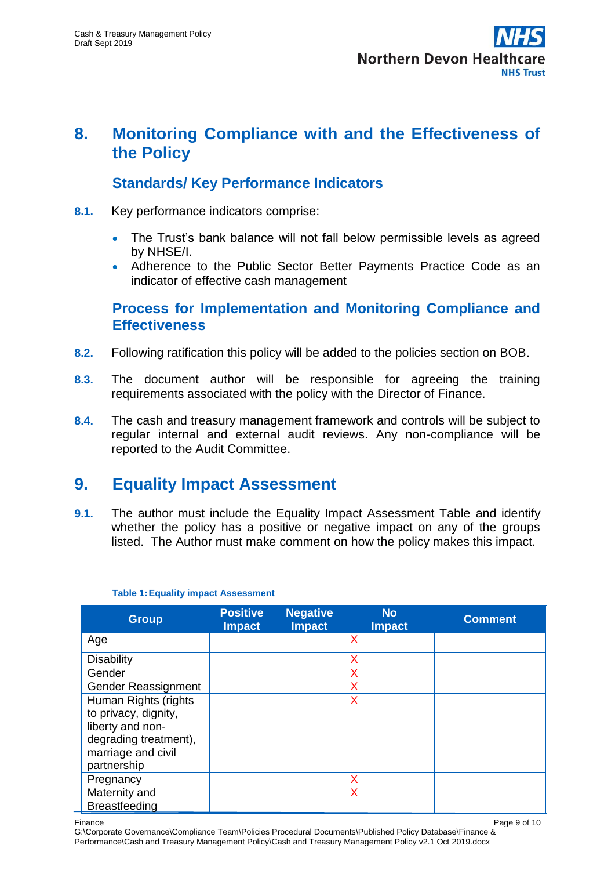

## <span id="page-8-0"></span>**8. Monitoring Compliance with and the Effectiveness of the Policy**

#### **Standards/ Key Performance Indicators**

- <span id="page-8-1"></span>**8.1.** Key performance indicators comprise:
	- The Trust's bank balance will not fall below permissible levels as agreed by NHSE/I.
	- Adherence to the Public Sector Better Payments Practice Code as an indicator of effective cash management

#### <span id="page-8-2"></span>**Process for Implementation and Monitoring Compliance and Effectiveness**

- **8.2.** Following ratification this policy will be added to the policies section on BOB.
- **8.3.** The document author will be responsible for agreeing the training requirements associated with the policy with the Director of Finance.
- **8.4.** The cash and treasury management framework and controls will be subject to regular internal and external audit reviews. Any non-compliance will be reported to the Audit Committee.

# <span id="page-8-3"></span>**9. Equality Impact Assessment**

**9.1.** The author must include the Equality Impact Assessment Table and identify whether the policy has a positive or negative impact on any of the groups listed. The Author must make comment on how the policy makes this impact.

| <b>Group</b>          | <b>Positive</b><br><b>Impact</b> | <b>Negative</b><br><b>Impact</b> | <b>No</b><br><b>Impact</b> | <b>Comment</b> |
|-----------------------|----------------------------------|----------------------------------|----------------------------|----------------|
| Age                   |                                  |                                  | X                          |                |
| Disability            |                                  |                                  | Х                          |                |
| Gender                |                                  |                                  | X                          |                |
| Gender Reassignment   |                                  |                                  | X                          |                |
| Human Rights (rights  |                                  |                                  | X                          |                |
| to privacy, dignity,  |                                  |                                  |                            |                |
| liberty and non-      |                                  |                                  |                            |                |
| degrading treatment), |                                  |                                  |                            |                |
| marriage and civil    |                                  |                                  |                            |                |
| partnership           |                                  |                                  |                            |                |
| Pregnancy             |                                  |                                  | X                          |                |
| Maternity and         |                                  |                                  | X                          |                |
| <b>Breastfeeding</b>  |                                  |                                  |                            |                |

#### **Table 1:Equality impact Assessment**

Finance Page 9 of 10

G:\Corporate Governance\Compliance Team\Policies Procedural Documents\Published Policy Database\Finance & Performance\Cash and Treasury Management Policy\Cash and Treasury Management Policy v2.1 Oct 2019.docx